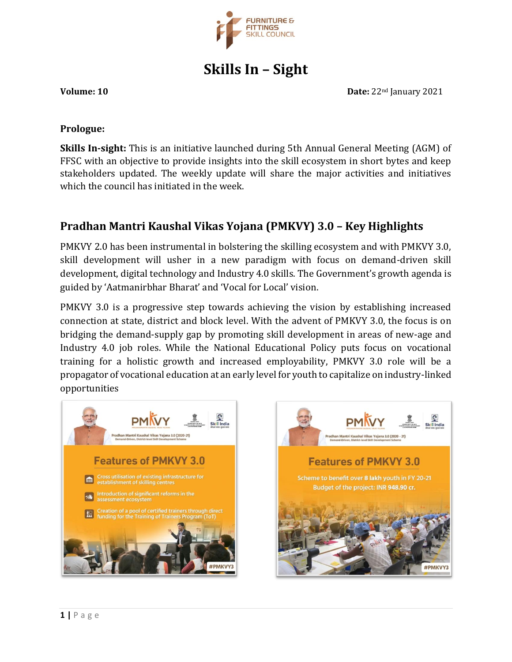

**Skills In – Sight**

**Volume: 10 Date:** 22<sup>nd</sup> January 2021

#### **Prologue:**

**Skills In-sight:** This is an initiative launched during 5th Annual General Meeting (AGM) of FFSC with an objective to provide insights into the skill ecosystem in short bytes and keep stakeholders updated. The weekly update will share the major activities and initiatives which the council has initiated in the week.

# **Pradhan Mantri Kaushal Vikas Yojana (PMKVY) 3.0 – Key Highlights**

PMKVY 2.0 has been instrumental in bolstering the skilling ecosystem and with PMKVY 3.0, skill development will usher in a new paradigm with focus on demand-driven skill development, digital technology and Industry 4.0 skills. The Government's growth agenda is guided by 'Aatmanirbhar Bharat' and 'Vocal for Local' vision.

PMKVY 3.0 is a progressive step towards achieving the vision by establishing increased connection at state, district and block level. With the advent of PMKVY 3.0, the focus is on bridging the demand-supply gap by promoting skill development in areas of new-age and Industry 4.0 job roles. While the National Educational Policy puts focus on vocational training for a holistic growth and increased employability, PMKVY 3.0 role will be a propagator of vocational education at an early level for youth to capitalize on industry-linked opportunities



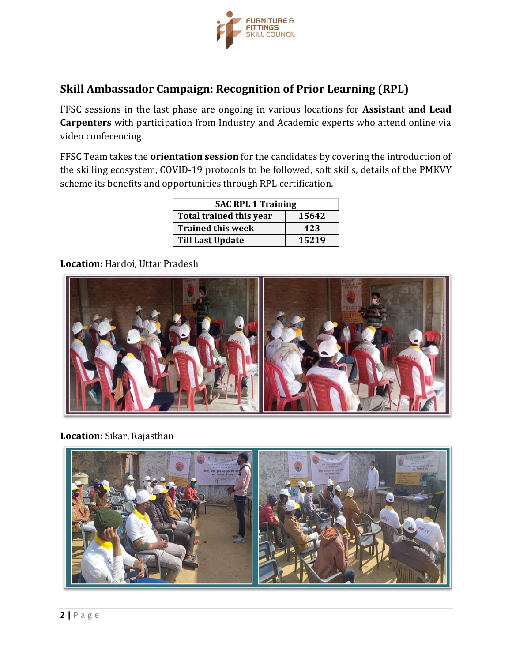

# **Skill Ambassador Campaign: Recognition of Prior Learning (RPL)**

FFSC sessions in the last phase are ongoing in various locations for **Assistant and Lead Carpenters** with participation from Industry and Academic experts who attend online via video conferencing.

FFSC Team takes the **orientation session** for the candidates by covering the introduction of the skilling ecosystem, COVID-19 protocols to be followed, soft skills, details of the PMKVY scheme its benefits and opportunities through RPL certification.

| <b>SAC RPL 1 Training</b>      |       |
|--------------------------------|-------|
| <b>Total trained this year</b> | 15642 |
| <b>Trained this week</b>       | 423   |
| <b>Till Last Update</b>        | 15219 |

**Location:** Hardoi, Uttar Pradesh



**Location:** Sikar, Rajasthan

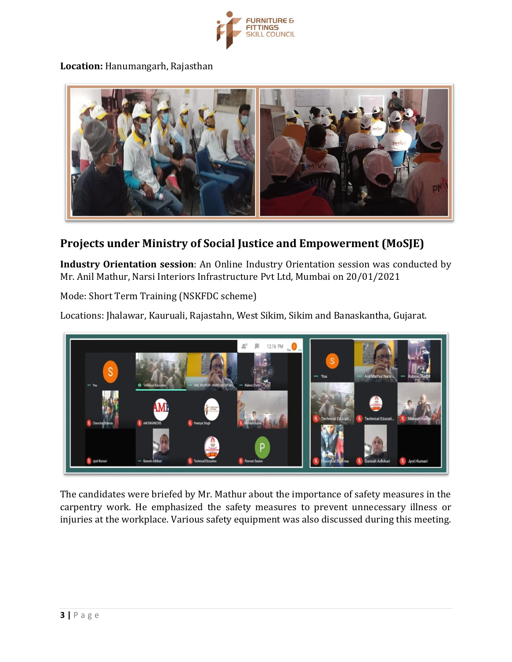

**Location:** Hanumangarh, Rajasthan



### **Projects under Ministry of Social Justice and Empowerment (MoSJE)**

**Industry Orientation session**: An Online Industry Orientation session was conducted by Mr. Anil Mathur, Narsi Interiors Infrastructure Pvt Ltd, Mumbai on 20/01/2021

Mode: Short Term Training (NSKFDC scheme)

Locations: Jhalawar, Kauruali, Rajastahn, West Sikim, Sikim and Banaskantha, Gujarat.



The candidates were briefed by Mr. Mathur about the importance of safety measures in the carpentry work. He emphasized the safety measures to prevent unnecessary illness or injuries at the workplace. Various safety equipment was also discussed during this meeting.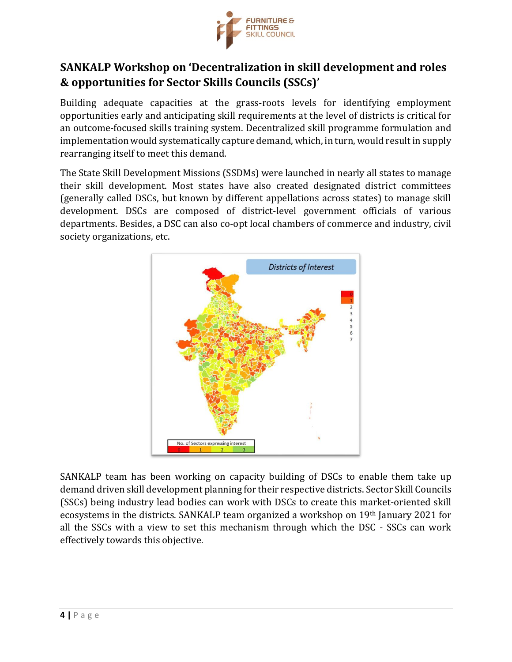

## **SANKALP Workshop on 'Decentralization in skill development and roles & opportunities for Sector Skills Councils (SSCs)'**

Building adequate capacities at the grass-roots levels for identifying employment opportunities early and anticipating skill requirements at the level of districts is critical for an outcome-focused skills training system. Decentralized skill programme formulation and implementation would systematically capture demand, which, in turn, would result in supply rearranging itself to meet this demand.

The State Skill Development Missions (SSDMs) were launched in nearly all states to manage their skill development. Most states have also created designated district committees (generally called DSCs, but known by different appellations across states) to manage skill development. DSCs are composed of district-level government officials of various departments. Besides, a DSC can also co-opt local chambers of commerce and industry, civil society organizations, etc.



SANKALP team has been working on capacity building of DSCs to enable them take up demand driven skill development planning for their respective districts. Sector Skill Councils (SSCs) being industry lead bodies can work with DSCs to create this market-oriented skill ecosystems in the districts. SANKALP team organized a workshop on 19th January 2021 for all the SSCs with a view to set this mechanism through which the DSC - SSCs can work effectively towards this objective.